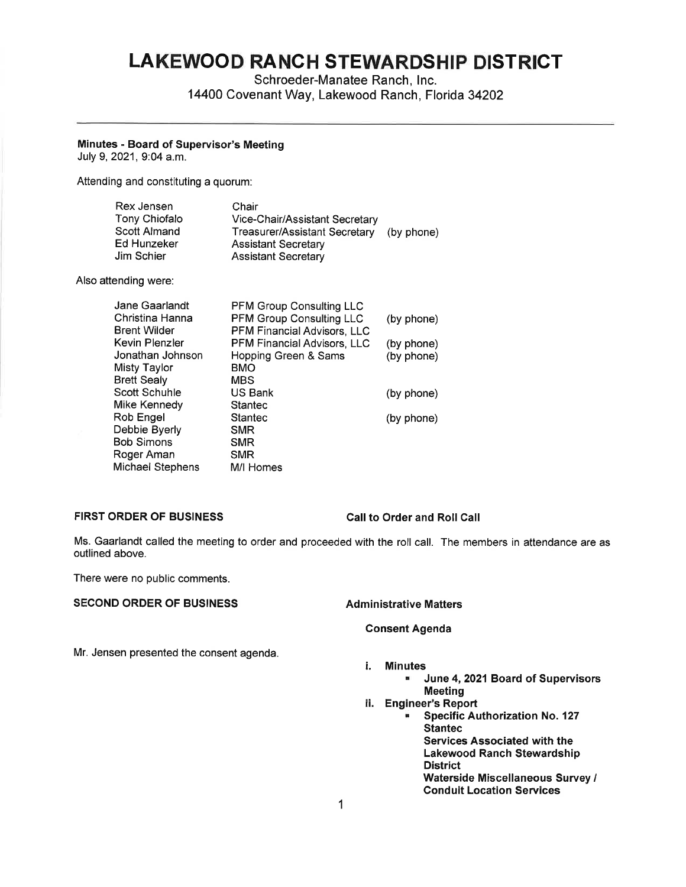# **LAKEWOOD RANCH STEWARDSHIP DISTRICT**

Schroeder-Manatee Ranch, Inc. 14400 Covenant Way, Lakewood Ranch, Florida 34202

### **Minutes** - **Board of Supervisor's Meeting**

July 9, 2021, 9:04 a.m.

Attending and constituting a quorum:

| Rex Jensen    | Chair                          |            |
|---------------|--------------------------------|------------|
| Tony Chiofalo | Vice-Chair/Assistant Secretary |            |
| Scott Almand  | Treasurer/Assistant Secretary  | (by phone) |
| Ed Hunzeker   | <b>Assistant Secretary</b>     |            |
| Jim Schier    | <b>Assistant Secretary</b>     |            |

Also attending were:

| Jane Gaarlandt     | <b>PFM Group Consulting LLC</b>    |            |
|--------------------|------------------------------------|------------|
| Christina Hanna    | <b>PFM Group Consulting LLC</b>    | (by phone) |
| Brent Wilder       | PFM Financial Advisors, LLC        |            |
| Kevin Plenzler     | <b>PFM Financial Advisors, LLC</b> | (by phone) |
| Jonathan Johnson   | Hopping Green & Sams               | (by phone) |
| Misty Taylor       | BMO                                |            |
| <b>Brett Sealy</b> | <b>MBS</b>                         |            |
| Scott Schuhle      | US Bank                            | (by phone) |
| Mike Kennedy       | <b>Stantec</b>                     |            |
| Rob Engel          | Stantec                            | (by phone) |
| Debbie Byerly      | <b>SMR</b>                         |            |
| Bob Simons         | <b>SMR</b>                         |            |
| Roger Aman         | <b>SMR</b>                         |            |
| Michael Stephens   | M/I Homes                          |            |
|                    |                                    |            |

# **FIRST ORDER OF BUSINESS Call to Order and Roll Call**

Ms. Gaarlandt called the meeting to order and proceeded with the roll call. The members in attendance are as outlined above.

There were no public comments.

# **SECOND ORDER OF BUSINESS Administrative Matters**

### **Consent Agenda**

Mr. Jensen presented the consent agenda.

# i. **Minutes**

- **June 4, 2021 Board of Supervisors Meeting**
- ii. **Engineer's Report** 
	- **Specific Authorization No. 127 Stantec Services Associated with the Lakewood Ranch Stewardship District Waterside Miscellaneous Survey** I **Conduit Location Services**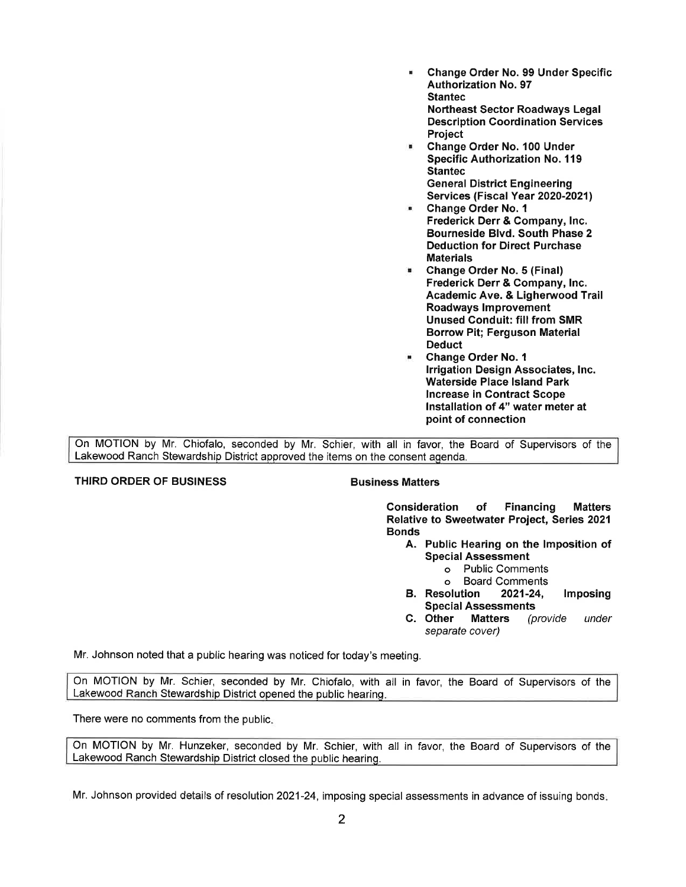- **Change Order No. 99 Under Specific Authorization No. 97 Stantec Northeast Sector Roadways Legal Description Coordination Services Project**
- **Change Order No. 100 Under Specific Authorization No. 119 Stantec General District Engineering Services (Fiscal Year 2020-2021)**
- **Change Order No. 1 Frederick Derr** & **Company, Inc. Bourneside Blvd. South Phase 2 Deduction for Direct Purchase Materials**
- **Change Order No. 5 (Final) Frederick Derr** & **Company, Inc. Academic Ave.** & **Ligherwood Trail Roadways Improvement Unused Conduit: fill from SMR Borrow Pit; Ferguson Material Deduct**
- **Change Order No. 1 Irrigation Design Associates, Inc. Waterside Place Island Park Increase in Contract Scope Installation of 4" water meter at point of connection**

On MOTION by Mr. Chiofalo, seconded by Mr. Schier, with all in favor, the Board of Supervisors of the Lakewood Ranch Stewardship District approved the items on the consent agenda.

# **THIRD ORDER OF BUSINESS BUSINESS Business Matters**

**Consideration of Financing Matters Relative to Sweetwater Project, Series 2021 Bonds** 

- **A. Public Hearing on the Imposition of Special Assessment** 
	- o Public Comments
	- o Board Comments
- **B. Resolution 2021-24, Imposing Special Assessments**
- **C. Other Matters** (provide under separate cover)

Mr. Johnson noted that a public hearing was noticed for today's meeting.

On MOTION by Mr. Schier, seconded by Mr. Chiofalo, with all in favor, the Board of Supervisors of the Lakewood Ranch Stewardship District opened the public hearing.

There were no comments from the public.

On MOTION by Mr. Hunzeker, seconded by Mr. Schier, with all in favor, the Board of Supervisors of the Lakewood Ranch Stewardship District closed the public hearing.

Mr. Johnson provided details of resolution 2021-24, imposing special assessments in advance of issuing bonds.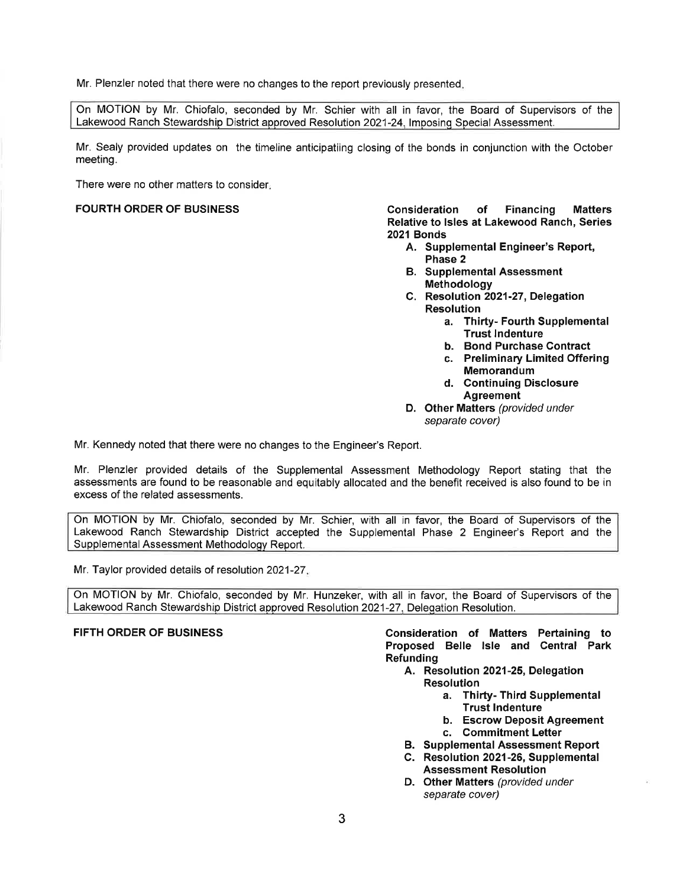Mr. Plenzler noted that there were no changes to the report previously presented.

On MOTION by Mr. Chiofalo, seconded by Mr. Schier with all in favor, the Board of Supervisors of the Lakewood Ranch Stewardship District approved Resolution 2021-24, Imposing Special Assessment.

Mr. Sealy provided updates on the timeline anticipatiing closing of the bonds in conjunction with the October meeting.

There were no other matters to consider.

**FOURTH ORDER OF BUSINESS Consideration of Financing Matters Relative to Isles at Lakewood Ranch, Series 2021 Bonds** 

- A. Supplemental Engineer's Report, **Phase 2**
- **8. Supplemental Assessment Methodology**
- **C. Resolution 2021-27, Delegation Resolution** 
	- **a. Thirty- Fourth Supplemental Trust Indenture**
	- **b. Bond Purchase Contract**
	- c. **Preliminary Limited Offering Memorandum**
	- **d. Continuing Disclosure Agreement**
- **D. Other Matters** (provided under separate cover)

Mr. Kennedy noted that there were no changes to the Engineer's Report.

Mr. Plenzler provided details of the Supplemental Assessment Methodology Report stating that the assessments are found to be reasonable and equitably allocated and the benefit received is also found to be in excess of the related assessments.

On MOTION by Mr. Chiofalo, seconded by Mr. Schier, with all in favor, the Board of Supervisors of the Lakewood Ranch Stewardship District accepted the Supplemental Phase 2 Engineer's Report and the Supplemental Assessment Methodology Report.

Mr. Taylor provided details of resolution 2021-27.

On MOTION by Mr. Chiofalo, seconded by Mr. Hunzeker, with all in favor, the Board of Supervisors of the Lakewood Ranch Stewardship District approved Resolution 2021-27, Delegation Resolution.

**FIFTH ORDER OF BUSINESS Consideration of Matters Pertaining to Proposed Belle Isle and Central Park Refunding** 

- A. Resolution 2021-25, Delegation **Resolution** 
	- **a. Thirty- Third Supplemental Trust Indenture**
	- **b. Escrow Deposit Agreement**
	- **c. Commitment Letter**
- **8. Supplemental Assessment Report**
- **C. Resolution 2021-26, Supplemental Assessment Resolution**
- **D. Other Matters** (provided under separate cover)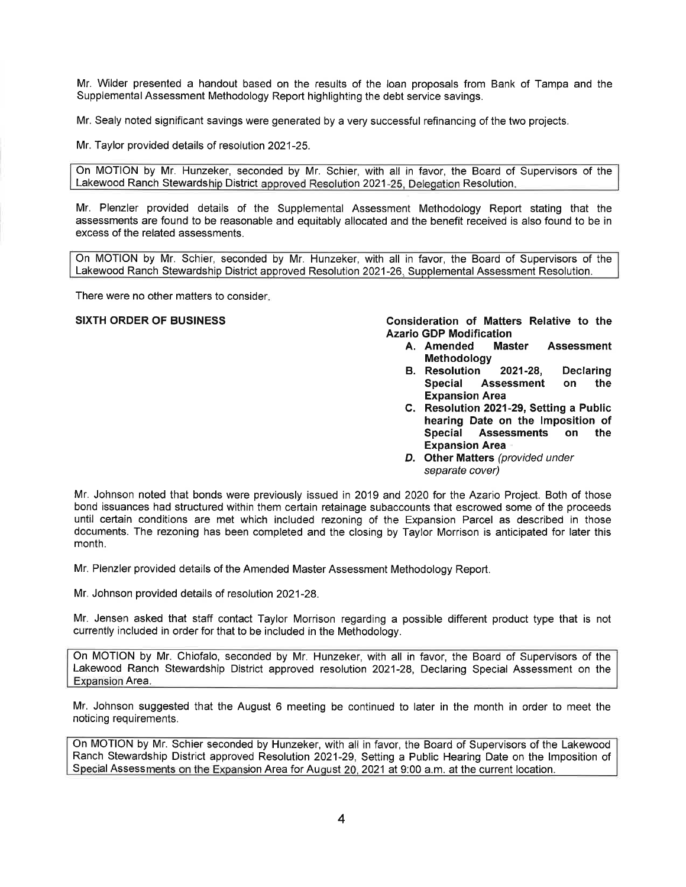Mr. Wilder presented a handout based on the results of the loan proposals from Bank of Tampa and the Supplemental Assessment Methodology Report highlighting the debt service savings.

Mr. Sealy noted significant savings were generated by a very successful refinancing of the two projects.

Mr. Taylor provided details of resolution 2021-25.

On MOTION by Mr. Hunzeker, seconded by Mr. Schier, with all in favor, the Board of Supervisors of the Lakewood Ranch Stewardship District approved Resolution 2021-25, Delegation Resolution.

Mr. Plenzler provided details of the Supplemental Assessment Methodology Report stating that the assessments are found to be reasonable and equitably allocated and the benefit received is also found to be in excess of the related assessments.

On MOTION by Mr. Schier, seconded by Mr. Hunzeker, with all in favor, the Board of Supervisors of the Lakewood Ranch Stewardship District approved Resolution 2021-26, Supplemental Assessment Resolution.

There were no other matters to consider.

**SIXTH ORDER OF BUSINESS Consideration of Matters Relative to the Azario GDP Modification** 

- **A. Amended Master Assessment Methodology**
- **B. Resolution 2021-28, Declaring Special Assessment on the Expansion Area**
- **C. Resolution 2021-29, Setting a Public hearing Date on the Imposition of Special Assessments on the Expansion Area**
- **D. Other Matters** (provided under separate cover)

Mr. Johnson noted that bonds were previously issued in 2019 and 2020 for the Azario Project. Both of those bond issuances had structured within them certain retainage subaccounts that escrowed some of the proceeds until certain conditions are met which included rezoning of the Expansion Parcel as described in those documents. The rezoning has been completed and the closing by Taylor Morrison is anticipated for later this month.

Mr. Plenzler provided details of the Amended Master Assessment Methodology Report.

Mr. Johnson provided details of resolution 2021-28.

Mr. Jensen asked that staff contact Taylor Morrison regarding a possible different product type that is not currently included in order for that to be included in the Methodology.

On MOTION by Mr. Chiofalo, seconded by Mr. Hunzeker, with all in favor, the Board of Supervisors of the Lakewood Ranch Stewardship District approved resolution 2021-28, Declaring Special Assessment on the Expansion Area.

Mr. Johnson suggested that the August 6 meeting be continued to later in the month in order to meet the noticing requirements.

On MOTION by Mr. Schier seconded by Hunzeker, with all in favor, the Board of Supervisors of the Lakewood Ranch Stewardship District approved Resolution 2021-29, Setting a Public Hearing Date on the Imposition of Special Assessments on the Exoansion Area for August 20, 2021 at 9:00 a.m. at the current location.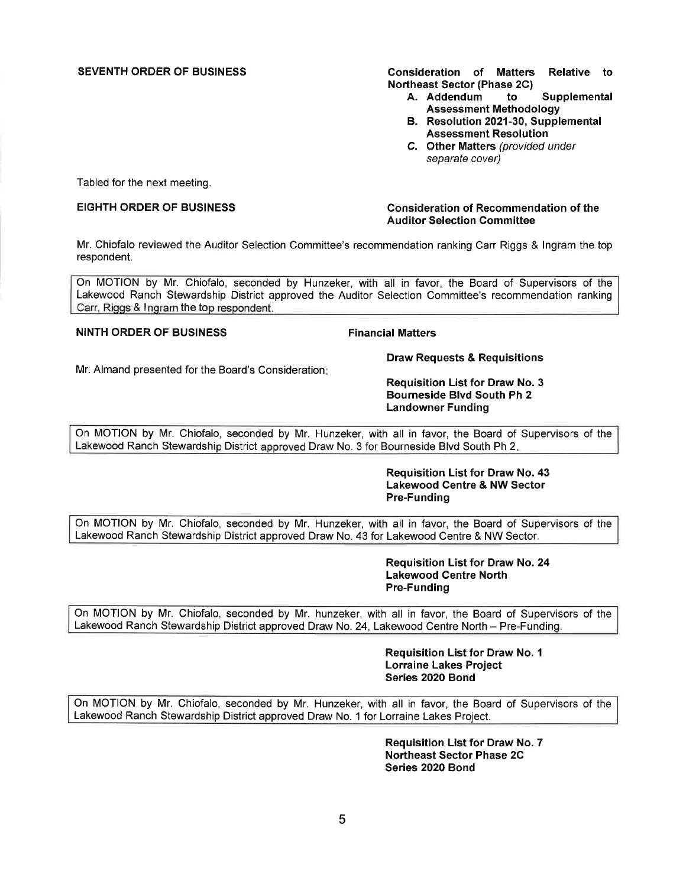SEVENTH ORDER OF BUSINESS **Consideration of Matters Relative to Northeast Sector (Phase 2C)** 

- **A. Addendum to Supplemental Assessment Methodology**
- **B. Resolution 2021-30, Supplemental Assessment Resolution**
- **C. Other Matters** (provided under separate cover)

Tabled for the next meeting.

### EIGHTH ORDER OF BUSINESS **Consideration of Recommendation of the Auditor Selection Committee**

Mr. Chiofalo reviewed the Auditor Selection Committee's recommendation ranking Carr Riggs & Ingram the top respondent.

On MOTION by Mr. Chiofalo, seconded by Hunzeker, with all in favor, the Board of Supervisors of the Lakewood Ranch Stewardship District approved the Auditor Selection Committee's recommendation ranking Carr, Riggs & Ingram the top respondent.

# **NINTH ORDER OF BUSINESS Financial Matters**

Mr. Almand presented for the Board's Consideration:

**Requisition List for Draw No. 3 Bourneside Blvd South Ph 2 Landowner Funding** 

**Draw Requests** & **Requisitions** 

On MOTION by Mr. Chiofalo, seconded by Mr. Hunzeker, with all in favor, the Board of Supervisors of the Lakewood Ranch Stewardship District approved Draw No. 3 for Bourneside Blvd South Ph 2.

> **Requisition List for Draw No. 43 Lakewood Centre** & **NW Sector Pre-Funding**

On MOTION by Mr. Chiofalo, seconded by Mr. Hunzeker, with all in favor, the Board of Supervisors of the Lakewood Ranch Stewardship District approved Draw No. 43 for Lakewood Centre & NW Sector.

> **Requisition List for Draw No. 24 Lakewood Centre North Pre-Funding**

On MOTION by Mr. Chiofalo, seconded by Mr. hunzeker, with all in favor, the Board of Supervisors of the Lakewood Ranch Stewardship District approved Draw No. 24, Lakewood Centre North - Pre-Funding.

> **Requisition List for Draw No. 1 Lorraine Lakes Project Series 2020 Bond**

On MOTION by Mr. Chiofalo, seconded by Mr. Hunzeker, with all in favor, the Board of Supervisors of the Lakewood Ranch Stewardship District approved Draw No. 1 for Lorraine Lakes Project.

> **Requisition List for Draw No. 7 Northeast Sector Phase 2C Series 2020 Bond**